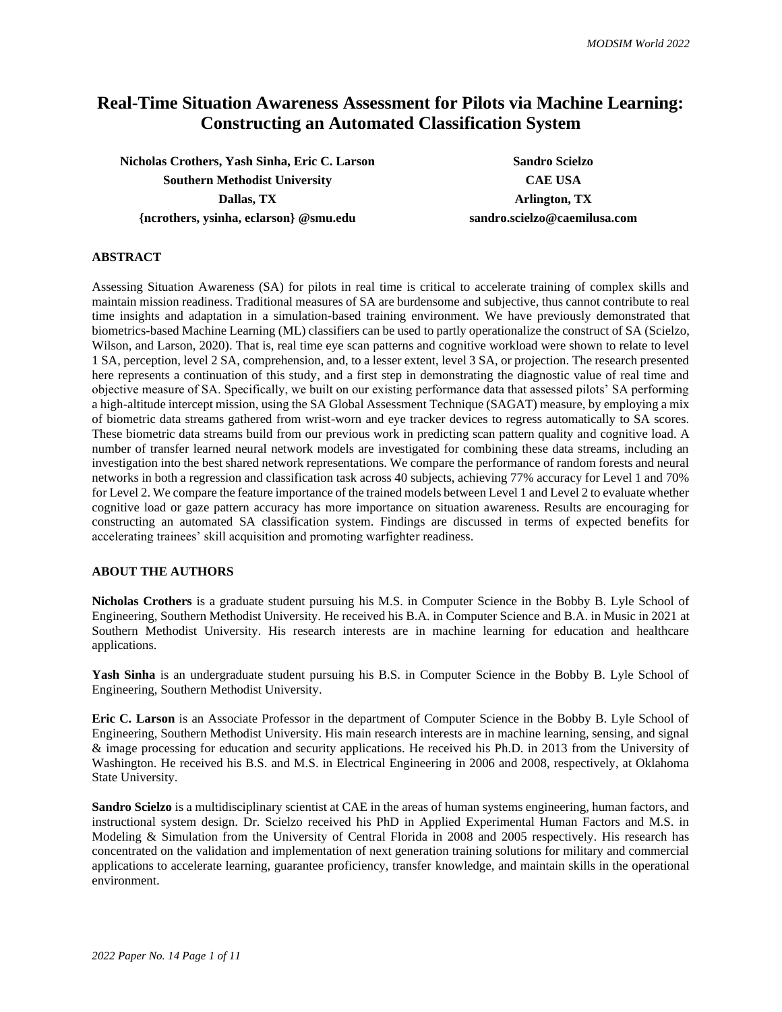# **Real-Time Situation Awareness Assessment for Pilots via Machine Learning: Constructing an Automated Classification System**

**Nicholas Crothers, Yash Sinha, Eric C. Larson Sandro Scielzo Southern Methodist University CAE USA Dallas, TX Arlington, TX {ncrothers, ysinha, eclarson} @smu.edu sandro.scielzo@caemilusa.com**

# **ABSTRACT**

Assessing Situation Awareness (SA) for pilots in real time is critical to accelerate training of complex skills and maintain mission readiness. Traditional measures of SA are burdensome and subjective, thus cannot contribute to real time insights and adaptation in a simulation-based training environment. We have previously demonstrated that biometrics-based Machine Learning (ML) classifiers can be used to partly operationalize the construct of SA (Scielzo, Wilson, and Larson, 2020). That is, real time eye scan patterns and cognitive workload were shown to relate to level 1 SA, perception, level 2 SA, comprehension, and, to a lesser extent, level 3 SA, or projection. The research presented here represents a continuation of this study, and a first step in demonstrating the diagnostic value of real time and objective measure of SA. Specifically, we built on our existing performance data that assessed pilots' SA performing a high-altitude intercept mission, using the SA Global Assessment Technique (SAGAT) measure, by employing a mix of biometric data streams gathered from wrist-worn and eye tracker devices to regress automatically to SA scores. These biometric data streams build from our previous work in predicting scan pattern quality and cognitive load. A number of transfer learned neural network models are investigated for combining these data streams, including an investigation into the best shared network representations. We compare the performance of random forests and neural networks in both a regression and classification task across 40 subjects, achieving 77% accuracy for Level 1 and 70% for Level 2. We compare the feature importance of the trained models between Level 1 and Level 2 to evaluate whether cognitive load or gaze pattern accuracy has more importance on situation awareness. Results are encouraging for constructing an automated SA classification system. Findings are discussed in terms of expected benefits for accelerating trainees' skill acquisition and promoting warfighter readiness.

# **ABOUT THE AUTHORS**

**Nicholas Crothers** is a graduate student pursuing his M.S. in Computer Science in the Bobby B. Lyle School of Engineering, Southern Methodist University. He received his B.A. in Computer Science and B.A. in Music in 2021 at Southern Methodist University. His research interests are in machine learning for education and healthcare applications.

**Yash Sinha** is an undergraduate student pursuing his B.S. in Computer Science in the Bobby B. Lyle School of Engineering, Southern Methodist University.

**Eric C. Larson** is an Associate Professor in the department of Computer Science in the Bobby B. Lyle School of Engineering, Southern Methodist University. His main research interests are in machine learning, sensing, and signal & image processing for education and security applications. He received his Ph.D. in 2013 from the University of Washington. He received his B.S. and M.S. in Electrical Engineering in 2006 and 2008, respectively, at Oklahoma State University.

**Sandro Scielzo** is a multidisciplinary scientist at CAE in the areas of human systems engineering, human factors, and instructional system design. Dr. Scielzo received his PhD in Applied Experimental Human Factors and M.S. in Modeling & Simulation from the University of Central Florida in 2008 and 2005 respectively. His research has concentrated on the validation and implementation of next generation training solutions for military and commercial applications to accelerate learning, guarantee proficiency, transfer knowledge, and maintain skills in the operational environment.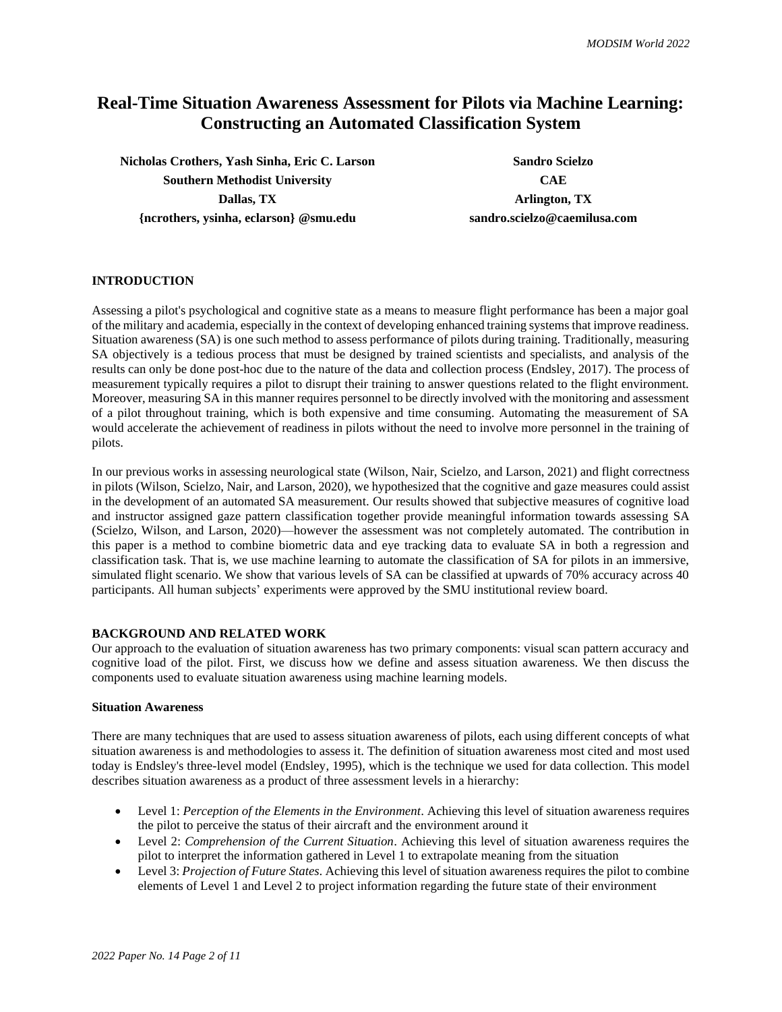# **Real-Time Situation Awareness Assessment for Pilots via Machine Learning: Constructing an Automated Classification System**

**Nicholas Crothers, Yash Sinha, Eric C. Larson Sandro Scielzo Southern Methodist University CAE Dallas, TX Arlington, TX {ncrothers, ysinha, eclarson} @smu.edu sandro.scielzo@caemilusa.com**

# **INTRODUCTION**

Assessing a pilot's psychological and cognitive state as a means to measure flight performance has been a major goal of the military and academia, especially in the context of developing enhanced training systems that improve readiness. Situation awareness (SA) is one such method to assess performance of pilots during training. Traditionally, measuring SA objectively is a tedious process that must be designed by trained scientists and specialists, and analysis of the results can only be done post-hoc due to the nature of the data and collection process (Endsley, 2017). The process of measurement typically requires a pilot to disrupt their training to answer questions related to the flight environment. Moreover, measuring SA in this manner requires personnel to be directly involved with the monitoring and assessment of a pilot throughout training, which is both expensive and time consuming. Automating the measurement of SA would accelerate the achievement of readiness in pilots without the need to involve more personnel in the training of pilots.

In our previous works in assessing neurological state (Wilson, Nair, Scielzo, and Larson, 2021) and flight correctness in pilots (Wilson, Scielzo, Nair, and Larson, 2020), we hypothesized that the cognitive and gaze measures could assist in the development of an automated SA measurement. Our results showed that subjective measures of cognitive load and instructor assigned gaze pattern classification together provide meaningful information towards assessing SA (Scielzo, Wilson, and Larson, 2020)—however the assessment was not completely automated. The contribution in this paper is a method to combine biometric data and eye tracking data to evaluate SA in both a regression and classification task. That is, we use machine learning to automate the classification of SA for pilots in an immersive, simulated flight scenario. We show that various levels of SA can be classified at upwards of 70% accuracy across 40 participants. All human subjects' experiments were approved by the SMU institutional review board.

## **BACKGROUND AND RELATED WORK**

Our approach to the evaluation of situation awareness has two primary components: visual scan pattern accuracy and cognitive load of the pilot. First, we discuss how we define and assess situation awareness. We then discuss the components used to evaluate situation awareness using machine learning models.

## **Situation Awareness**

There are many techniques that are used to assess situation awareness of pilots, each using different concepts of what situation awareness is and methodologies to assess it. The definition of situation awareness most cited and most used today is Endsley's three-level model (Endsley, 1995), which is the technique we used for data collection. This model describes situation awareness as a product of three assessment levels in a hierarchy:

- Level 1: *Perception of the Elements in the Environment*. Achieving this level of situation awareness requires the pilot to perceive the status of their aircraft and the environment around it
- Level 2: *Comprehension of the Current Situation*. Achieving this level of situation awareness requires the pilot to interpret the information gathered in Level 1 to extrapolate meaning from the situation
- Level 3: *Projection of Future States*. Achieving this level of situation awareness requires the pilot to combine elements of Level 1 and Level 2 to project information regarding the future state of their environment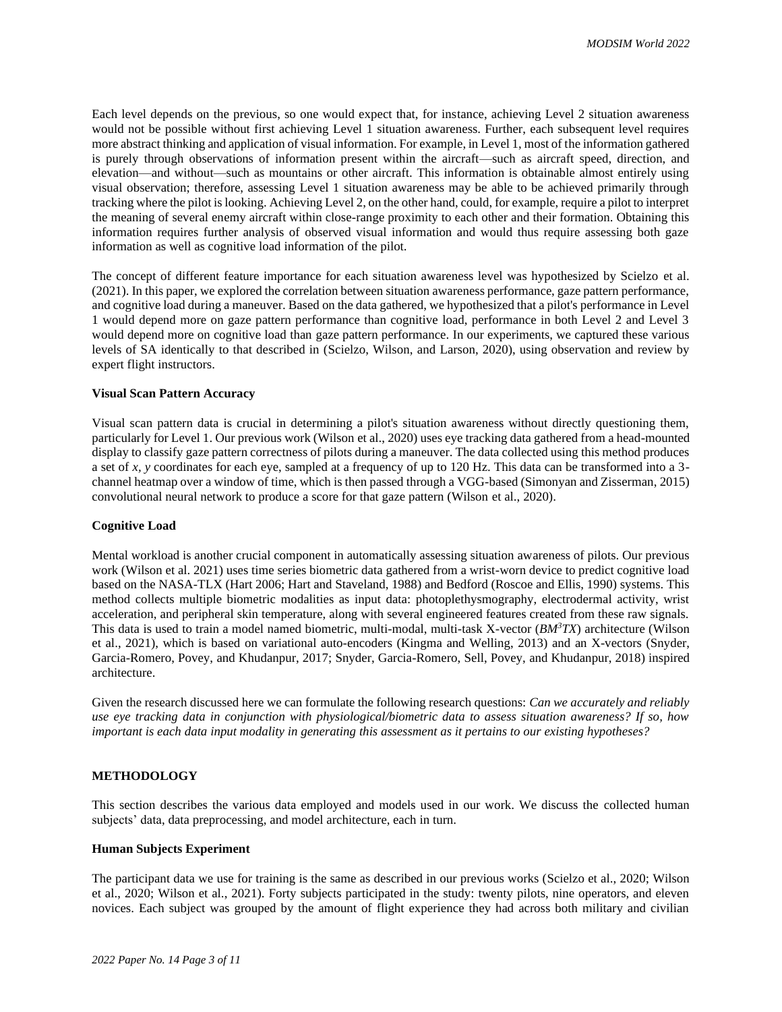Each level depends on the previous, so one would expect that, for instance, achieving Level 2 situation awareness would not be possible without first achieving Level 1 situation awareness. Further, each subsequent level requires more abstract thinking and application of visual information. For example, in Level 1, most of the information gathered is purely through observations of information present within the aircraft—such as aircraft speed, direction, and elevation—and without—such as mountains or other aircraft. This information is obtainable almost entirely using visual observation; therefore, assessing Level 1 situation awareness may be able to be achieved primarily through tracking where the pilot is looking. Achieving Level 2, on the other hand, could, for example, require a pilot to interpret the meaning of several enemy aircraft within close-range proximity to each other and their formation. Obtaining this information requires further analysis of observed visual information and would thus require assessing both gaze information as well as cognitive load information of the pilot.

The concept of different feature importance for each situation awareness level was hypothesized by Scielzo et al. (2021). In this paper, we explored the correlation between situation awareness performance, gaze pattern performance, and cognitive load during a maneuver. Based on the data gathered, we hypothesized that a pilot's performance in Level 1 would depend more on gaze pattern performance than cognitive load, performance in both Level 2 and Level 3 would depend more on cognitive load than gaze pattern performance. In our experiments, we captured these various levels of SA identically to that described in (Scielzo, Wilson, and Larson, 2020), using observation and review by expert flight instructors.

## **Visual Scan Pattern Accuracy**

Visual scan pattern data is crucial in determining a pilot's situation awareness without directly questioning them, particularly for Level 1. Our previous work (Wilson et al., 2020) uses eye tracking data gathered from a head-mounted display to classify gaze pattern correctness of pilots during a maneuver. The data collected using this method produces a set of *x, y* coordinates for each eye, sampled at a frequency of up to 120 Hz. This data can be transformed into a 3 channel heatmap over a window of time, which is then passed through a VGG-based (Simonyan and Zisserman, 2015) convolutional neural network to produce a score for that gaze pattern (Wilson et al., 2020).

#### **Cognitive Load**

Mental workload is another crucial component in automatically assessing situation awareness of pilots. Our previous work (Wilson et al. 2021) uses time series biometric data gathered from a wrist-worn device to predict cognitive load based on the NASA-TLX (Hart 2006; Hart and Staveland, 1988) and Bedford (Roscoe and Ellis, 1990) systems. This method collects multiple biometric modalities as input data: photoplethysmography, electrodermal activity, wrist acceleration, and peripheral skin temperature, along with several engineered features created from these raw signals. This data is used to train a model named biometric, multi-modal, multi-task X-vector (*BM<sup>3</sup>TX*) architecture (Wilson et al., 2021), which is based on variational auto-encoders (Kingma and Welling, 2013) and an X-vectors (Snyder, Garcia-Romero, Povey, and Khudanpur, 2017; Snyder, Garcia-Romero, Sell, Povey, and Khudanpur, 2018) inspired architecture.

Given the research discussed here we can formulate the following research questions: *Can we accurately and reliably use eye tracking data in conjunction with physiological/biometric data to assess situation awareness? If so, how important is each data input modality in generating this assessment as it pertains to our existing hypotheses?*

## **METHODOLOGY**

This section describes the various data employed and models used in our work. We discuss the collected human subjects' data, data preprocessing, and model architecture, each in turn.

#### **Human Subjects Experiment**

The participant data we use for training is the same as described in our previous works (Scielzo et al., 2020; Wilson et al., 2020; Wilson et al., 2021). Forty subjects participated in the study: twenty pilots, nine operators, and eleven novices. Each subject was grouped by the amount of flight experience they had across both military and civilian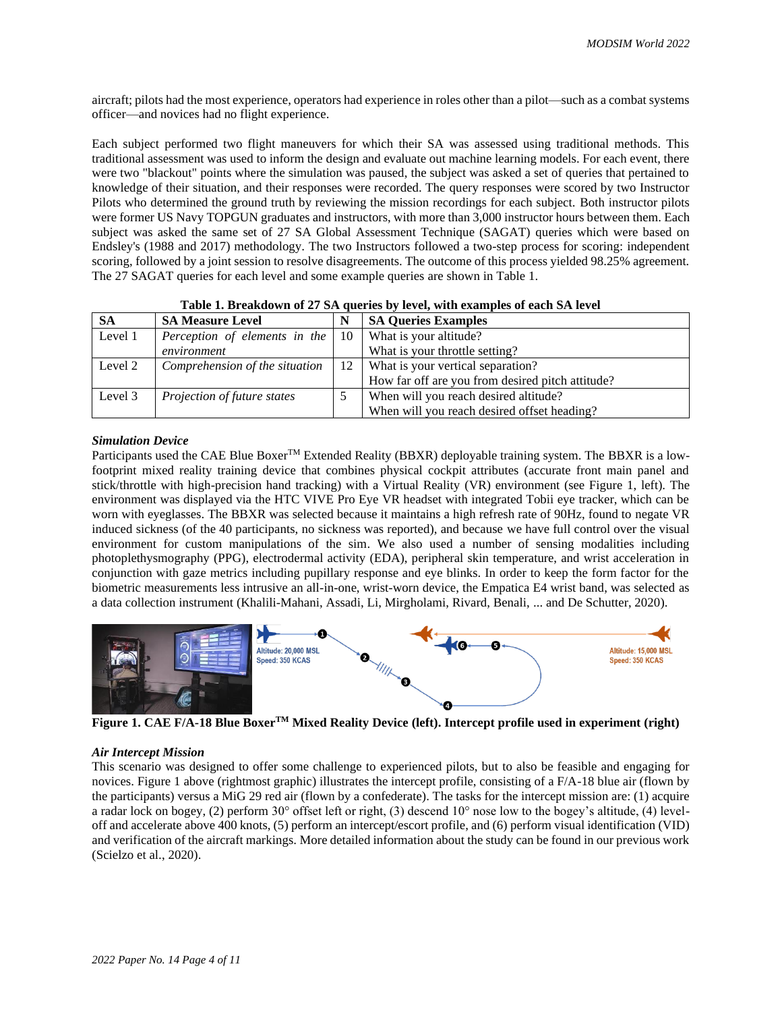aircraft; pilots had the most experience, operators had experience in roles other than a pilot—such as a combat systems officer—and novices had no flight experience.

Each subject performed two flight maneuvers for which their SA was assessed using traditional methods. This traditional assessment was used to inform the design and evaluate out machine learning models. For each event, there were two "blackout" points where the simulation was paused, the subject was asked a set of queries that pertained to knowledge of their situation, and their responses were recorded. The query responses were scored by two Instructor Pilots who determined the ground truth by reviewing the mission recordings for each subject. Both instructor pilots were former US Navy TOPGUN graduates and instructors, with more than 3,000 instructor hours between them. Each subject was asked the same set of 27 SA Global Assessment Technique (SAGAT) queries which were based on Endsley's (1988 and 2017) methodology. The two Instructors followed a two-step process for scoring: independent scoring, followed by a joint session to resolve disagreements. The outcome of this process yielded 98.25% agreement. The 27 SAGAT queries for each level and some example queries are shown in Table 1.

| <b>SA</b> | <b>SA Measure Level</b>                  | N  | <b>SA Queries Examples</b>                       |
|-----------|------------------------------------------|----|--------------------------------------------------|
| Level 1   | Perception of elements in the $\vert$ 10 |    | What is your altitude?                           |
|           | environment                              |    | What is your throttle setting?                   |
| Level 2   | Comprehension of the situation           | 12 | What is your vertical separation?                |
|           |                                          |    | How far off are you from desired pitch attitude? |
| Level 3   | Projection of future states              |    | When will you reach desired altitude?            |
|           |                                          |    | When will you reach desired offset heading?      |

| Table 1. Breakdown of 27 SA queries by level, with examples of each SA level |  |  |  |  |  |  |  |
|------------------------------------------------------------------------------|--|--|--|--|--|--|--|
|------------------------------------------------------------------------------|--|--|--|--|--|--|--|

#### *Simulation Device*

Participants used the CAE Blue Boxer™ Extended Reality (BBXR) deployable training system. The BBXR is a lowfootprint mixed reality training device that combines physical cockpit attributes (accurate front main panel and stick/throttle with high-precision hand tracking) with a Virtual Reality (VR) environment (see Figure 1, left). The environment was displayed via the HTC VIVE Pro Eye VR headset with integrated Tobii eye tracker, which can be worn with eyeglasses. The BBXR was selected because it maintains a high refresh rate of 90Hz, found to negate VR induced sickness (of the 40 participants, no sickness was reported), and because we have full control over the visual environment for custom manipulations of the sim. We also used a number of sensing modalities including photoplethysmography (PPG), electrodermal activity (EDA), peripheral skin temperature, and wrist acceleration in conjunction with gaze metrics including pupillary response and eye blinks. In order to keep the form factor for the biometric measurements less intrusive an all-in-one, wrist-worn device, the Empatica E4 wrist band, was selected as a data collection instrument (Khalili-Mahani, Assadi, Li, Mirgholami, Rivard, Benali, ... and De Schutter, 2020).



**Figure 1. CAE F/A-18 Blue BoxerTM Mixed Reality Device (left). Intercept profile used in experiment (right)**

#### *Air Intercept Mission*

This scenario was designed to offer some challenge to experienced pilots, but to also be feasible and engaging for novices. Figure 1 above (rightmost graphic) illustrates the intercept profile, consisting of a F/A-18 blue air (flown by the participants) versus a MiG 29 red air (flown by a confederate). The tasks for the intercept mission are: (1) acquire a radar lock on bogey, (2) perform 30° offset left or right, (3) descend 10° nose low to the bogey's altitude, (4) leveloff and accelerate above 400 knots, (5) perform an intercept/escort profile, and (6) perform visual identification (VID) and verification of the aircraft markings. More detailed information about the study can be found in our previous work (Scielzo et al., 2020).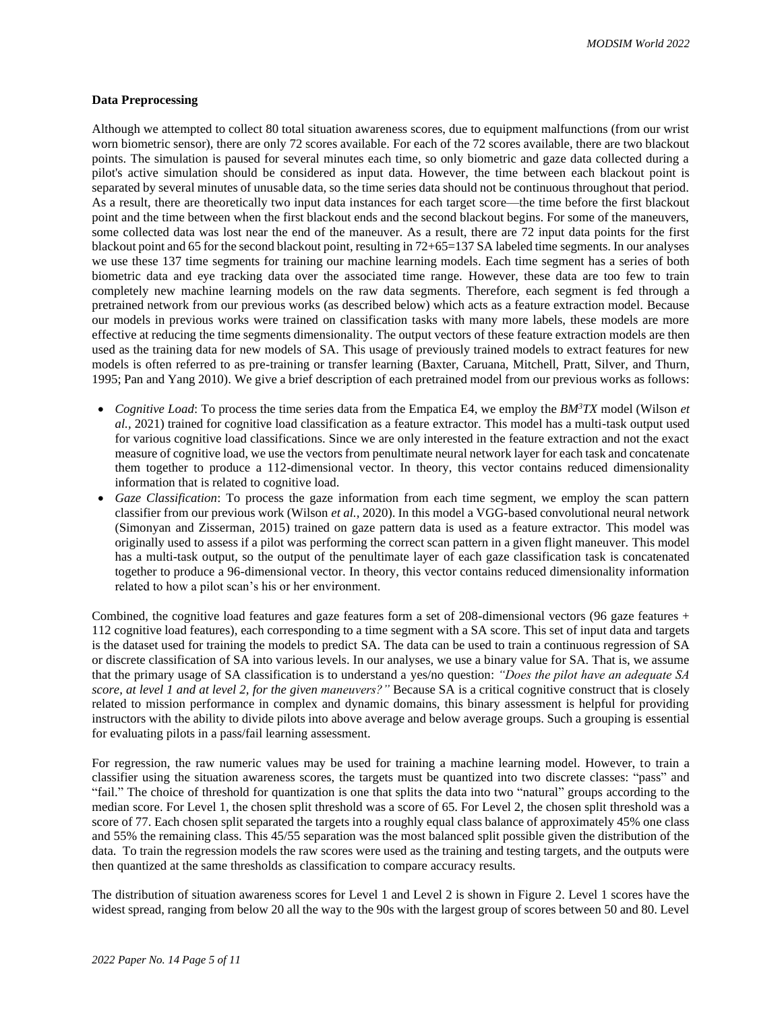#### **Data Preprocessing**

Although we attempted to collect 80 total situation awareness scores, due to equipment malfunctions (from our wrist worn biometric sensor), there are only 72 scores available. For each of the 72 scores available, there are two blackout points. The simulation is paused for several minutes each time, so only biometric and gaze data collected during a pilot's active simulation should be considered as input data. However, the time between each blackout point is separated by several minutes of unusable data, so the time series data should not be continuous throughout that period. As a result, there are theoretically two input data instances for each target score—the time before the first blackout point and the time between when the first blackout ends and the second blackout begins. For some of the maneuvers, some collected data was lost near the end of the maneuver. As a result, there are 72 input data points for the first blackout point and 65 for the second blackout point, resulting in 72+65=137 SA labeled time segments. In our analyses we use these 137 time segments for training our machine learning models. Each time segment has a series of both biometric data and eye tracking data over the associated time range. However, these data are too few to train completely new machine learning models on the raw data segments. Therefore, each segment is fed through a pretrained network from our previous works (as described below) which acts as a feature extraction model. Because our models in previous works were trained on classification tasks with many more labels, these models are more effective at reducing the time segments dimensionality. The output vectors of these feature extraction models are then used as the training data for new models of SA. This usage of previously trained models to extract features for new models is often referred to as pre-training or transfer learning (Baxter, Caruana, Mitchell, Pratt, Silver, and Thurn, 1995; Pan and Yang 2010). We give a brief description of each pretrained model from our previous works as follows:

- *Cognitive Load*: To process the time series data from the Empatica E4, we employ the *BM<sup>3</sup>TX* model (Wilson *et al.,* 2021) trained for cognitive load classification as a feature extractor. This model has a multi-task output used for various cognitive load classifications. Since we are only interested in the feature extraction and not the exact measure of cognitive load, we use the vectors from penultimate neural network layer for each task and concatenate them together to produce a 112-dimensional vector. In theory, this vector contains reduced dimensionality information that is related to cognitive load.
- *Gaze Classification*: To process the gaze information from each time segment, we employ the scan pattern classifier from our previous work (Wilson *et al.,* 2020). In this model a VGG-based convolutional neural network (Simonyan and Zisserman, 2015) trained on gaze pattern data is used as a feature extractor. This model was originally used to assess if a pilot was performing the correct scan pattern in a given flight maneuver. This model has a multi-task output, so the output of the penultimate layer of each gaze classification task is concatenated together to produce a 96-dimensional vector. In theory, this vector contains reduced dimensionality information related to how a pilot scan's his or her environment.

Combined, the cognitive load features and gaze features form a set of 208-dimensional vectors (96 gaze features + 112 cognitive load features), each corresponding to a time segment with a SA score. This set of input data and targets is the dataset used for training the models to predict SA. The data can be used to train a continuous regression of SA or discrete classification of SA into various levels. In our analyses, we use a binary value for SA. That is, we assume that the primary usage of SA classification is to understand a yes/no question: *"Does the pilot have an adequate SA score, at level 1 and at level 2, for the given maneuvers?"* Because SA is a critical cognitive construct that is closely related to mission performance in complex and dynamic domains, this binary assessment is helpful for providing instructors with the ability to divide pilots into above average and below average groups. Such a grouping is essential for evaluating pilots in a pass/fail learning assessment.

For regression, the raw numeric values may be used for training a machine learning model. However, to train a classifier using the situation awareness scores, the targets must be quantized into two discrete classes: "pass" and "fail." The choice of threshold for quantization is one that splits the data into two "natural" groups according to the median score. For Level 1, the chosen split threshold was a score of 65. For Level 2, the chosen split threshold was a score of 77. Each chosen split separated the targets into a roughly equal class balance of approximately 45% one class and 55% the remaining class. This 45/55 separation was the most balanced split possible given the distribution of the data. To train the regression models the raw scores were used as the training and testing targets, and the outputs were then quantized at the same thresholds as classification to compare accuracy results.

The distribution of situation awareness scores for Level 1 and Level 2 is shown in Figure 2. Level 1 scores have the widest spread, ranging from below 20 all the way to the 90s with the largest group of scores between 50 and 80. Level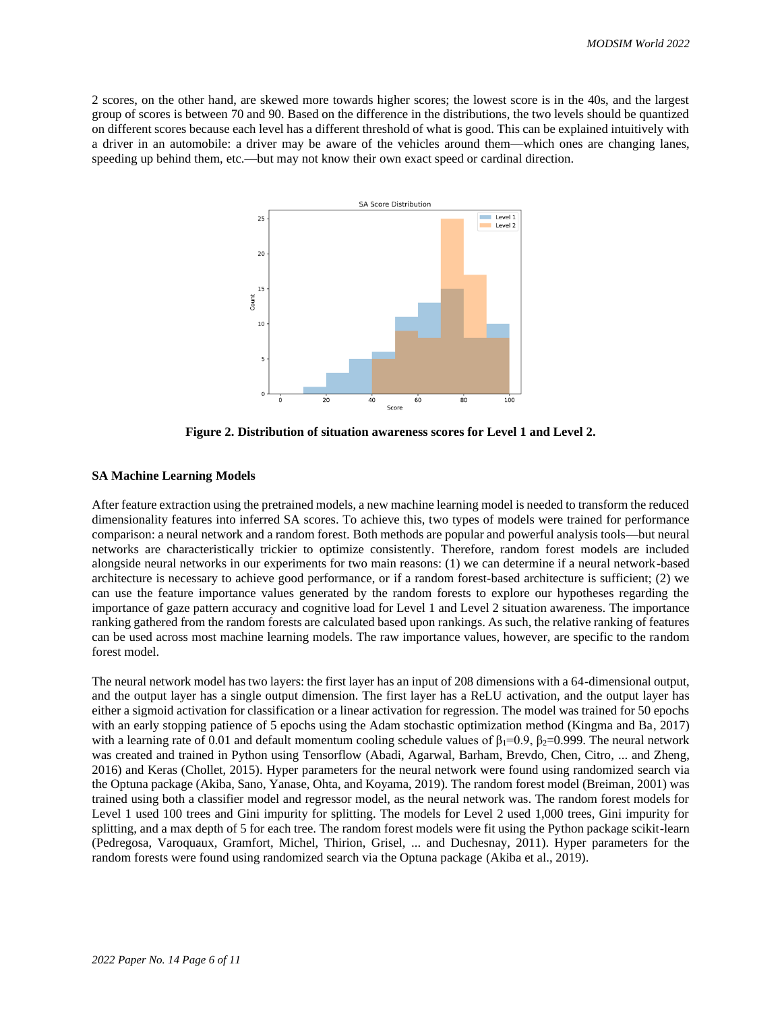2 scores, on the other hand, are skewed more towards higher scores; the lowest score is in the 40s, and the largest group of scores is between 70 and 90. Based on the difference in the distributions, the two levels should be quantized on different scores because each level has a different threshold of what is good. This can be explained intuitively with a driver in an automobile: a driver may be aware of the vehicles around them—which ones are changing lanes, speeding up behind them, etc.—but may not know their own exact speed or cardinal direction.



**Figure 2. Distribution of situation awareness scores for Level 1 and Level 2.**

### **SA Machine Learning Models**

After feature extraction using the pretrained models, a new machine learning model is needed to transform the reduced dimensionality features into inferred SA scores. To achieve this, two types of models were trained for performance comparison: a neural network and a random forest. Both methods are popular and powerful analysis tools—but neural networks are characteristically trickier to optimize consistently. Therefore, random forest models are included alongside neural networks in our experiments for two main reasons: (1) we can determine if a neural network-based architecture is necessary to achieve good performance, or if a random forest-based architecture is sufficient; (2) we can use the feature importance values generated by the random forests to explore our hypotheses regarding the importance of gaze pattern accuracy and cognitive load for Level 1 and Level 2 situation awareness. The importance ranking gathered from the random forests are calculated based upon rankings. As such, the relative ranking of features can be used across most machine learning models. The raw importance values, however, are specific to the random forest model.

The neural network model has two layers: the first layer has an input of 208 dimensions with a 64-dimensional output, and the output layer has a single output dimension. The first layer has a ReLU activation, and the output layer has either a sigmoid activation for classification or a linear activation for regression. The model was trained for 50 epochs with an early stopping patience of 5 epochs using the Adam stochastic optimization method (Kingma and Ba, 2017) with a learning rate of 0.01 and default momentum cooling schedule values of  $\beta_1=0.9$ ,  $\beta_2=0.999$ . The neural network was created and trained in Python using Tensorflow (Abadi, Agarwal, Barham, Brevdo, Chen, Citro, ... and Zheng, 2016) and Keras (Chollet, 2015). Hyper parameters for the neural network were found using randomized search via the Optuna package (Akiba, Sano, Yanase, Ohta, and Koyama, 2019). The random forest model (Breiman, 2001) was trained using both a classifier model and regressor model, as the neural network was. The random forest models for Level 1 used 100 trees and Gini impurity for splitting. The models for Level 2 used 1,000 trees, Gini impurity for splitting, and a max depth of 5 for each tree. The random forest models were fit using the Python package scikit-learn (Pedregosa, Varoquaux, Gramfort, Michel, Thirion, Grisel, ... and Duchesnay, 2011). Hyper parameters for the random forests were found using randomized search via the Optuna package (Akiba et al., 2019).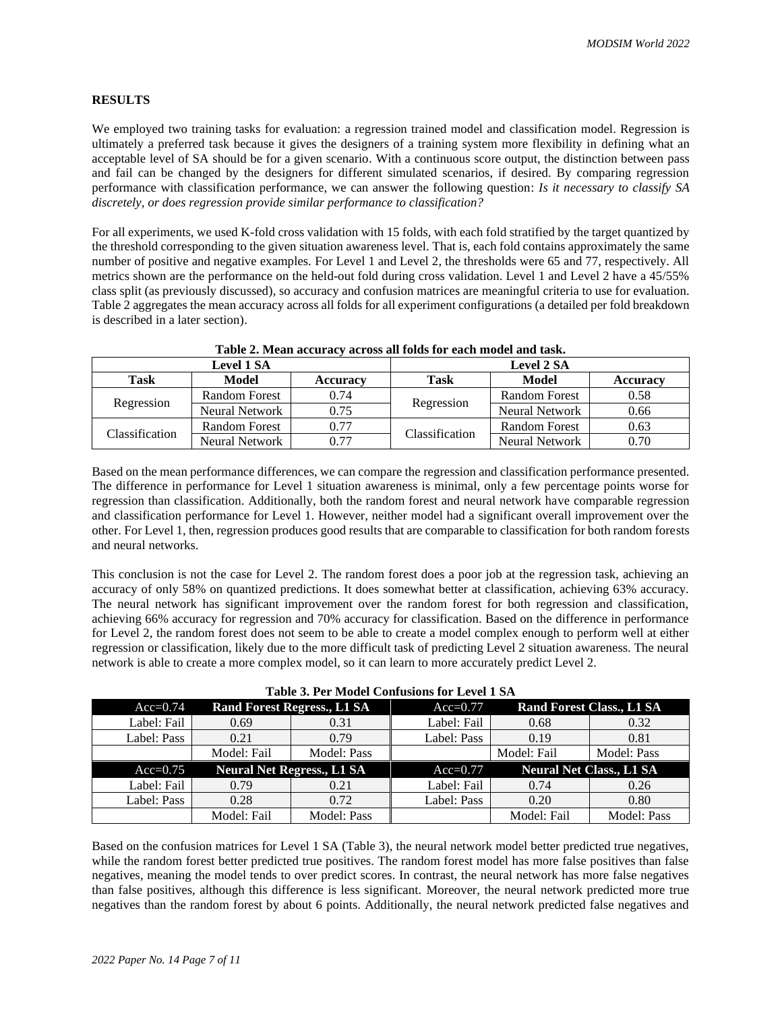## **RESULTS**

We employed two training tasks for evaluation: a regression trained model and classification model. Regression is ultimately a preferred task because it gives the designers of a training system more flexibility in defining what an acceptable level of SA should be for a given scenario. With a continuous score output, the distinction between pass and fail can be changed by the designers for different simulated scenarios, if desired. By comparing regression performance with classification performance, we can answer the following question: *Is it necessary to classify SA discretely, or does regression provide similar performance to classification?*

For all experiments, we used K-fold cross validation with 15 folds, with each fold stratified by the target quantized by the threshold corresponding to the given situation awareness level. That is, each fold contains approximately the same number of positive and negative examples. For Level 1 and Level 2, the thresholds were 65 and 77, respectively. All metrics shown are the performance on the held-out fold during cross validation. Level 1 and Level 2 have a 45/55% class split (as previously discussed), so accuracy and confusion matrices are meaningful criteria to use for evaluation. Table 2 aggregates the mean accuracy across all folds for all experiment configurations (a detailed per fold breakdown is described in a later section).

|                       | <b>Level 1 SA</b>     |                 | <b>Level 2 SA</b> |                      |                 |
|-----------------------|-----------------------|-----------------|-------------------|----------------------|-----------------|
| <b>Task</b>           | Model                 | <b>Accuracy</b> | <b>Task</b>       | Model                | <b>Accuracy</b> |
| Regression            | <b>Random Forest</b>  | 0.74            |                   | <b>Random Forest</b> | 0.58            |
|                       | <b>Neural Network</b> | 0.75            | Regression        | Neural Network       | 0.66            |
| <b>Classification</b> | <b>Random Forest</b>  | 0.77            |                   | <b>Random Forest</b> | 0.63            |
|                       | Neural Network        | 0.77            | Classification    | Neural Network       | 0.70            |

|  |  | Table 2. Mean accuracy across all folds for each model and task. |
|--|--|------------------------------------------------------------------|
|  |  |                                                                  |

Based on the mean performance differences, we can compare the regression and classification performance presented. The difference in performance for Level 1 situation awareness is minimal, only a few percentage points worse for regression than classification. Additionally, both the random forest and neural network have comparable regression and classification performance for Level 1. However, neither model had a significant overall improvement over the other. For Level 1, then, regression produces good results that are comparable to classification for both random forests and neural networks.

This conclusion is not the case for Level 2. The random forest does a poor job at the regression task, achieving an accuracy of only 58% on quantized predictions. It does somewhat better at classification, achieving 63% accuracy. The neural network has significant improvement over the random forest for both regression and classification, achieving 66% accuracy for regression and 70% accuracy for classification. Based on the difference in performance for Level 2, the random forest does not seem to be able to create a model complex enough to perform well at either regression or classification, likely due to the more difficult task of predicting Level 2 situation awareness. The neural network is able to create a more complex model, so it can learn to more accurately predict Level 2.

| Table 5. Fel Model Comusions for Level 1 SA |                                    |             |             |                                  |                                 |  |  |  |
|---------------------------------------------|------------------------------------|-------------|-------------|----------------------------------|---------------------------------|--|--|--|
| $Acc=0.74$                                  | <b>Rand Forest Regress., L1 SA</b> |             | $Acc=0.77$  | <b>Rand Forest Class., L1 SA</b> |                                 |  |  |  |
| Label: Fail                                 | 0.69                               | 0.31        | Label: Fail | 0.68                             | 0.32                            |  |  |  |
| Label: Pass                                 | 0.21                               | 0.79        | Label: Pass | 0.19                             | 0.81                            |  |  |  |
|                                             | Model: Fail                        | Model: Pass |             | Model: Fail                      | Model: Pass                     |  |  |  |
| $Acc=0.75$                                  | <b>Neural Net Regress., L1 SA</b>  |             | $Acc=0.77$  |                                  | <b>Neural Net Class., L1 SA</b> |  |  |  |
| Label: Fail                                 | 0.79                               | 0.21        | Label: Fail | 0.74                             | 0.26                            |  |  |  |
| Label: Pass                                 | 0.28                               | 0.72        | Label: Pass | 0.20                             | 0.80                            |  |  |  |
|                                             | Model: Fail                        | Model: Pass |             | Model: Fail                      | Model: Pass                     |  |  |  |

|  |  | Table 3. Per Model Confusions for Level 1 SA |  |
|--|--|----------------------------------------------|--|
|--|--|----------------------------------------------|--|

Based on the confusion matrices for Level 1 SA (Table 3), the neural network model better predicted true negatives, while the random forest better predicted true positives. The random forest model has more false positives than false negatives, meaning the model tends to over predict scores. In contrast, the neural network has more false negatives than false positives, although this difference is less significant. Moreover, the neural network predicted more true negatives than the random forest by about 6 points. Additionally, the neural network predicted false negatives and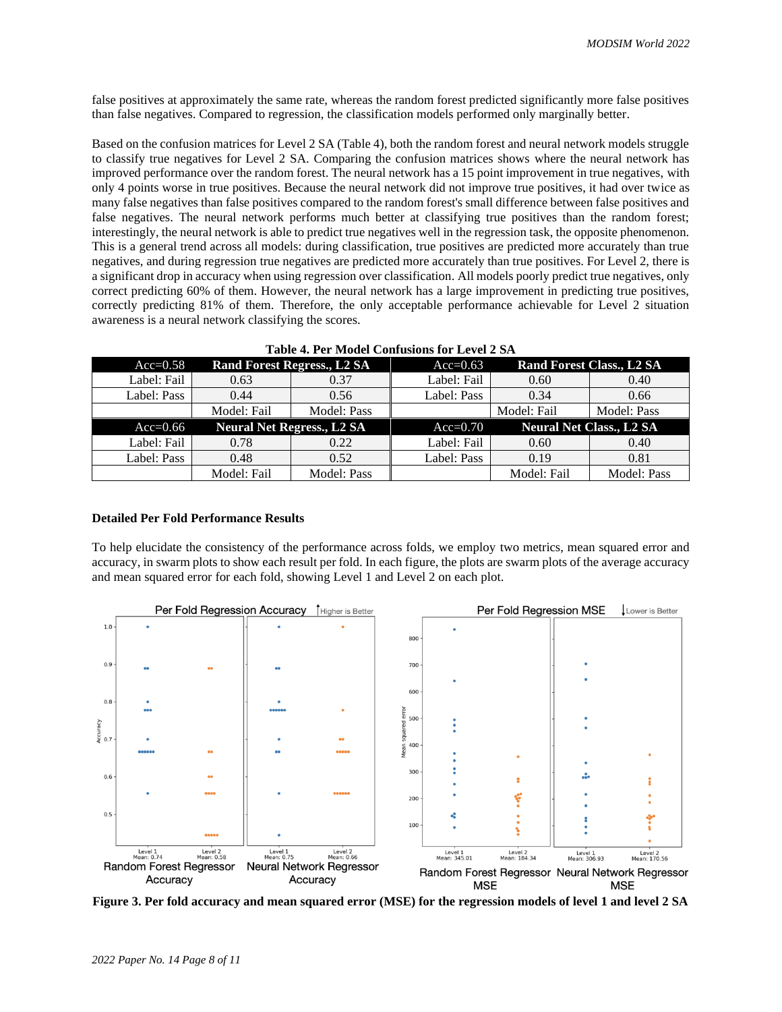false positives at approximately the same rate, whereas the random forest predicted significantly more false positives than false negatives. Compared to regression, the classification models performed only marginally better.

Based on the confusion matrices for Level 2 SA (Table 4), both the random forest and neural network models struggle to classify true negatives for Level 2 SA. Comparing the confusion matrices shows where the neural network has improved performance over the random forest. The neural network has a 15 point improvement in true negatives, with only 4 points worse in true positives. Because the neural network did not improve true positives, it had over twice as many false negatives than false positives compared to the random forest's small difference between false positives and false negatives. The neural network performs much better at classifying true positives than the random forest; interestingly, the neural network is able to predict true negatives well in the regression task, the opposite phenomenon. This is a general trend across all models: during classification, true positives are predicted more accurately than true negatives, and during regression true negatives are predicted more accurately than true positives. For Level 2, there is a significant drop in accuracy when using regression over classification. All models poorly predict true negatives, only correct predicting 60% of them. However, the neural network has a large improvement in predicting true positives, correctly predicting 81% of them. Therefore, the only acceptable performance achievable for Level 2 situation awareness is a neural network classifying the scores.

| Table 4. Fel Model Comusions for Level 2 SA |                                    |             |             |                                  |             |  |  |  |
|---------------------------------------------|------------------------------------|-------------|-------------|----------------------------------|-------------|--|--|--|
| $Acc=0.58$                                  | <b>Rand Forest Regress., L2 SA</b> |             | $Acc=0.63$  | <b>Rand Forest Class., L2 SA</b> |             |  |  |  |
| Label: Fail                                 | 0.63                               | 0.37        | Label: Fail | 0.60                             | 0.40        |  |  |  |
| Label: Pass                                 | 0.44                               | 0.56        | Label: Pass | 0.34                             | 0.66        |  |  |  |
|                                             | Model: Fail                        | Model: Pass |             | Model: Fail                      | Model: Pass |  |  |  |
| $Acc=0.66$                                  | <b>Neural Net Regress., L2 SA</b>  |             | $Acc=0.70$  | <b>Neural Net Class., L2 SA</b>  |             |  |  |  |
| Label: Fail                                 | 0.78                               | 0.22        | Label: Fail | 0.60                             | 0.40        |  |  |  |
| Label: Pass                                 | 0.48                               | 0.52        | Label: Pass | 0.19                             | 0.81        |  |  |  |
|                                             | Model: Fail                        | Model: Pass |             | Model: Fail                      | Model: Pass |  |  |  |

**Table 4. Per Model Confusions for Level 2 SA**

#### **Detailed Per Fold Performance Results**

To help elucidate the consistency of the performance across folds, we employ two metrics, mean squared error and accuracy, in swarm plots to show each result per fold. In each figure, the plots are swarm plots of the average accuracy and mean squared error for each fold, showing Level 1 and Level 2 on each plot.



**Figure 3. Per fold accuracy and mean squared error (MSE) for the regression models of level 1 and level 2 SA**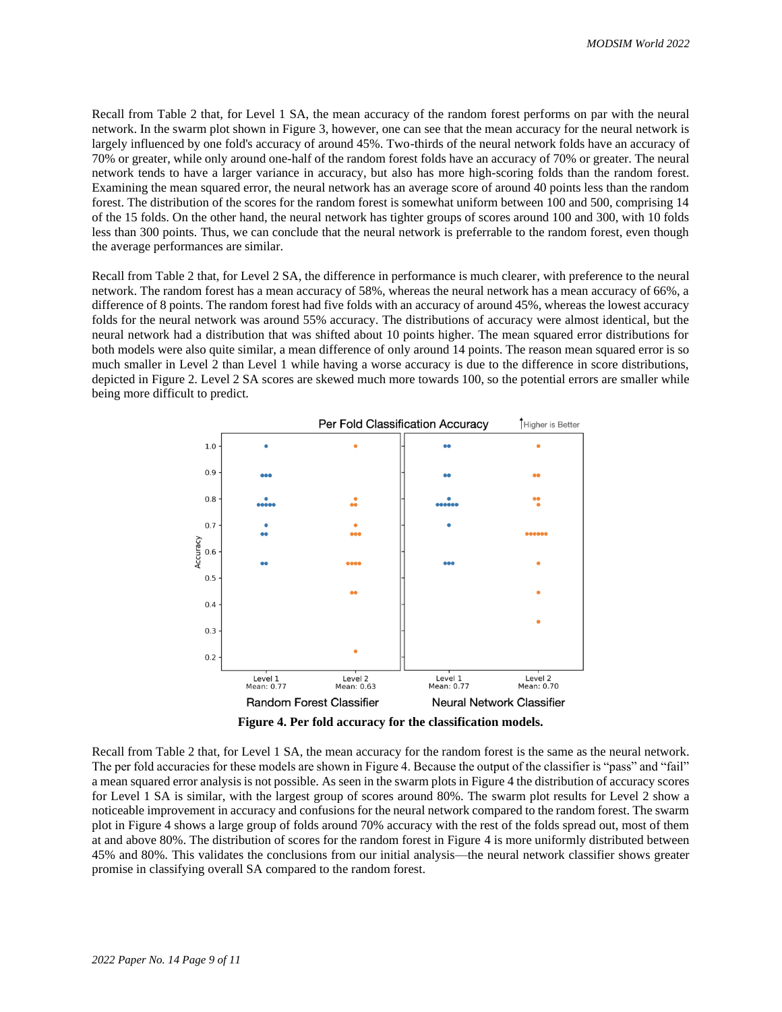Recall from Table 2 that, for Level 1 SA, the mean accuracy of the random forest performs on par with the neural network. In the swarm plot shown in Figure 3, however, one can see that the mean accuracy for the neural network is largely influenced by one fold's accuracy of around 45%. Two-thirds of the neural network folds have an accuracy of 70% or greater, while only around one-half of the random forest folds have an accuracy of 70% or greater. The neural network tends to have a larger variance in accuracy, but also has more high-scoring folds than the random forest. Examining the mean squared error, the neural network has an average score of around 40 points less than the random forest. The distribution of the scores for the random forest is somewhat uniform between 100 and 500, comprising 14 of the 15 folds. On the other hand, the neural network has tighter groups of scores around 100 and 300, with 10 folds less than 300 points. Thus, we can conclude that the neural network is preferrable to the random forest, even though the average performances are similar.

Recall from Table 2 that, for Level 2 SA, the difference in performance is much clearer, with preference to the neural network. The random forest has a mean accuracy of 58%, whereas the neural network has a mean accuracy of 66%, a difference of 8 points. The random forest had five folds with an accuracy of around 45%, whereas the lowest accuracy folds for the neural network was around 55% accuracy. The distributions of accuracy were almost identical, but the neural network had a distribution that was shifted about 10 points higher. The mean squared error distributions for both models were also quite similar, a mean difference of only around 14 points. The reason mean squared error is so much smaller in Level 2 than Level 1 while having a worse accuracy is due to the difference in score distributions, depicted in Figure 2. Level 2 SA scores are skewed much more towards 100, so the potential errors are smaller while being more difficult to predict.



**Figure 4. Per fold accuracy for the classification models.**

Recall from Table 2 that, for Level 1 SA, the mean accuracy for the random forest is the same as the neural network. The per fold accuracies for these models are shown in Figure 4. Because the output of the classifier is "pass" and "fail" a mean squared error analysis is not possible. As seen in the swarm plots in Figure 4 the distribution of accuracy scores for Level 1 SA is similar, with the largest group of scores around 80%. The swarm plot results for Level 2 show a noticeable improvement in accuracy and confusions for the neural network compared to the random forest. The swarm plot in Figure 4 shows a large group of folds around 70% accuracy with the rest of the folds spread out, most of them at and above 80%. The distribution of scores for the random forest in Figure 4 is more uniformly distributed between 45% and 80%. This validates the conclusions from our initial analysis—the neural network classifier shows greater promise in classifying overall SA compared to the random forest.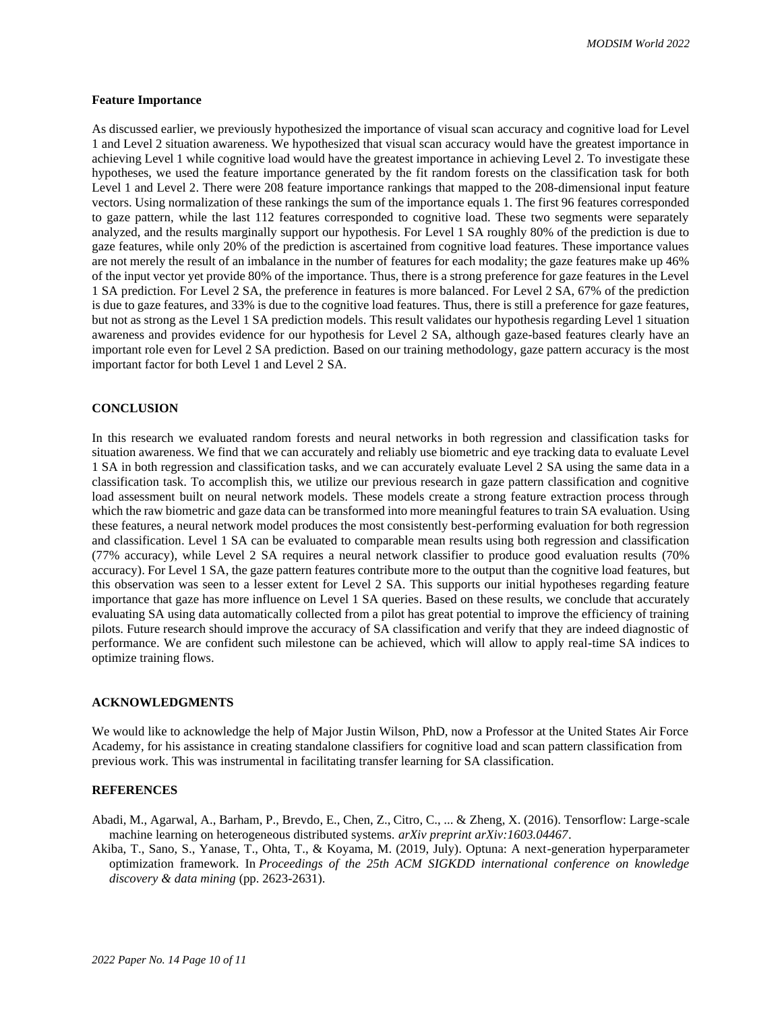*MODSIM World 2022*

#### **Feature Importance**

As discussed earlier, we previously hypothesized the importance of visual scan accuracy and cognitive load for Level 1 and Level 2 situation awareness. We hypothesized that visual scan accuracy would have the greatest importance in achieving Level 1 while cognitive load would have the greatest importance in achieving Level 2. To investigate these hypotheses, we used the feature importance generated by the fit random forests on the classification task for both Level 1 and Level 2. There were 208 feature importance rankings that mapped to the 208-dimensional input feature vectors. Using normalization of these rankings the sum of the importance equals 1. The first 96 features corresponded to gaze pattern, while the last 112 features corresponded to cognitive load. These two segments were separately analyzed, and the results marginally support our hypothesis. For Level 1 SA roughly 80% of the prediction is due to gaze features, while only 20% of the prediction is ascertained from cognitive load features. These importance values are not merely the result of an imbalance in the number of features for each modality; the gaze features make up 46% of the input vector yet provide 80% of the importance. Thus, there is a strong preference for gaze features in the Level 1 SA prediction. For Level 2 SA, the preference in features is more balanced. For Level 2 SA, 67% of the prediction is due to gaze features, and 33% is due to the cognitive load features. Thus, there is still a preference for gaze features, but not as strong as the Level 1 SA prediction models. This result validates our hypothesis regarding Level 1 situation awareness and provides evidence for our hypothesis for Level 2 SA, although gaze-based features clearly have an important role even for Level 2 SA prediction. Based on our training methodology, gaze pattern accuracy is the most important factor for both Level 1 and Level 2 SA.

## **CONCLUSION**

In this research we evaluated random forests and neural networks in both regression and classification tasks for situation awareness. We find that we can accurately and reliably use biometric and eye tracking data to evaluate Level 1 SA in both regression and classification tasks, and we can accurately evaluate Level 2 SA using the same data in a classification task. To accomplish this, we utilize our previous research in gaze pattern classification and cognitive load assessment built on neural network models. These models create a strong feature extraction process through which the raw biometric and gaze data can be transformed into more meaningful features to train SA evaluation. Using these features, a neural network model produces the most consistently best-performing evaluation for both regression and classification. Level 1 SA can be evaluated to comparable mean results using both regression and classification (77% accuracy), while Level 2 SA requires a neural network classifier to produce good evaluation results (70% accuracy). For Level 1 SA, the gaze pattern features contribute more to the output than the cognitive load features, but this observation was seen to a lesser extent for Level 2 SA. This supports our initial hypotheses regarding feature importance that gaze has more influence on Level 1 SA queries. Based on these results, we conclude that accurately evaluating SA using data automatically collected from a pilot has great potential to improve the efficiency of training pilots. Future research should improve the accuracy of SA classification and verify that they are indeed diagnostic of performance. We are confident such milestone can be achieved, which will allow to apply real-time SA indices to optimize training flows.

## **ACKNOWLEDGMENTS**

We would like to acknowledge the help of Major Justin Wilson, PhD, now a Professor at the United States Air Force Academy, for his assistance in creating standalone classifiers for cognitive load and scan pattern classification from previous work. This was instrumental in facilitating transfer learning for SA classification.

# **REFERENCES**

- Abadi, M., Agarwal, A., Barham, P., Brevdo, E., Chen, Z., Citro, C., ... & Zheng, X. (2016). Tensorflow: Large-scale machine learning on heterogeneous distributed systems. *arXiv preprint arXiv:1603.04467*.
- Akiba, T., Sano, S., Yanase, T., Ohta, T., & Koyama, M. (2019, July). Optuna: A next-generation hyperparameter optimization framework. In *Proceedings of the 25th ACM SIGKDD international conference on knowledge discovery & data mining* (pp. 2623-2631).